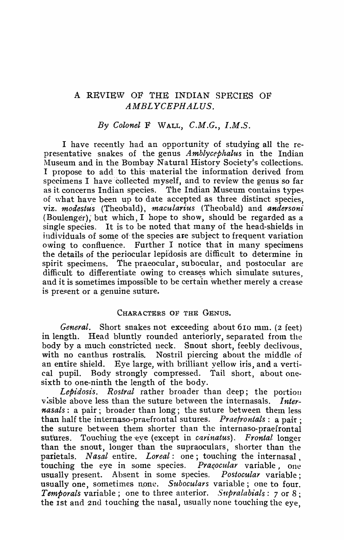# A REVIEW OF THE INDIAN SPECIES OF *A MBL YCEPHAL US.*

# *By Colonel* F \"VALL, *C.M.G., I.M.S.*

I have recently had an opportunity of studying all the representative snakes of the genus *Amblycephalus* in the Indian Museum and in the Bombay Natural History Society's collections. I propose to add' to this' material the information derived from specimens I have collected myself, and to review the genus so far as it concerns Indian species. The Indian Museum contains types of what have been up to date accepted as three distinct species, viz. *modestus* (Theobald), *macularius* (Theobald) and *andersoni* (Boulenger); but which, I hope to show, should be regarded as a single species. It is to be noted that many of the head-shields in individuals of some of the species are subject to frequent variation owing to confluence. Further I notice that in many specimens the details of the periocular lepidosis are difficult to determine in spirit specimens. The praeocular, su bocular, and postocular are difficult to differentiate owing to creases which simulate sutures. and it is sometimes impossible to be certain whether merely a crease is present or a genuine suture.

### CHARACTERS OF THE GENUS.

*General.* Short snakes not exceeding about 610 mm. (2 feet) in length. Head bluntly rounded anteriorly, separated from the body by a much constricted neck. Snout short, feebly declivous, with no canthus rostralis. Nostril piercing about the middle of Nostril piercing about the middle of an entire shield. Eye large, with brilliant yellow iris, and a vertical pupil. Body strongly compressed. Tail short, about onesixth to one-ninth the length of the body.

Lebidosis. Rostral rather broader than deep; the portion visible above less than the suture between the internasals. *Internasals*: a pair; broader than long; the suture between them less than half the internaso-praefrontal sutures. *Praefrontals*: a pair: the suture between them shorter than the internaso-praefrontal sutures. Touching the eve (except in *carinatus*). *Frontal* longer than the snout, longer than the supraoculars, shorter than the parietals. *Nasal* entire. *Loreal:* one; touching the internasal, touching the eye in some species. *Praesoular* variable, one usually present. Absent in some species. *Postocular* variable: usually present. Absent in some species. usually one, sometimes none. *Suboculars* variable; one to four. *Temporals* variable; one to three anterior. *S1epralabials:* 7 or 8 ; the 1st and 2nd touching the nasal, usually none touching the eye,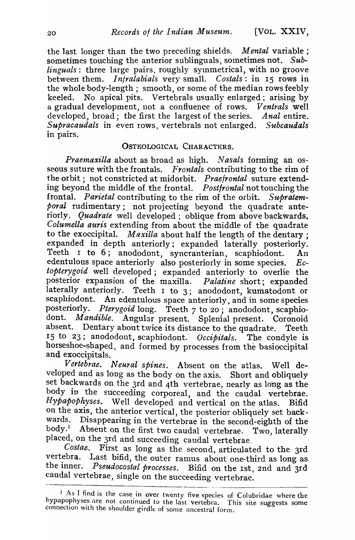the last longer than the two preceding shields. *Mental* variable; sometimes touching the anterior sublinguals, sometimes not. Sub*linguals*: three large pairs, roughly symmetrical, with no groove between them. I *njralabials* very small. C *ostals:* in IS rows in the whole body-length; smooth, or some of the median rows feebly keeled. No apical pits. Vertebrals usually enlarged; arising by a gradual development, not a confluence of rows. *Ventrals* well developed, broad; the first the largest of the series. *Anal* entire. *Supracaudals* In even rows, vertebrals not enlarged. *Subcaudals*  in pairs.

#### OSTEOLOGICAL CHARACTERS.

*Praemaxilla* about as broad as high. *Nasals* forming an osseous suture with the frontals. *Frontals* contributing to the rim of the orbit; not constricted at midorbit. *Praefrontal* suture extending beyond the middle of the frontal. *Postfrontal* not touching the frontal. *Parietal* contributing to the rim of the orbit. *Supratemporal* rudimentary; not projecting beyond the quadrate anteriorly. *Quadrate* well developed; oblique from above backwards. *Columella auris* extending from about the middle of the quadrate to the exoccipital. *Maxilla* about half the length of the dentary ; expanded in depth anteriorly; expanded laterally posteriorly. Teeth I to 6; anododont, syncranterian, scaphiodont. An edentulous space anteriorly also posteriorly in some species. *Ectopterygoid* well developed; expanded anteriorly to overlie the posterior expansion of the maxilla. *Palatine* short; expanded laterally anteriorly. Teeth  $I$  to  $3$ ; anododont, kumatodont or scaphiodont. An edentulous space anteriorly and in some species An edentulous space anteriorly, and in some species posteriorly. *Pterygoid* long. Teeth 7 to 20; anododont, scaphiodont. *Mandible.* Angular present. Splenial present. Coronoid absent. Dentary about twice its distance to the quadrate. Teeth IS to 23; anododont, scaphiodont. *Occipitals.* The condyle is horseshoe-shaped., and formed by processes from the basioccipital and exoccipitals.

*Vertebrae. Neural spines.* Absent on the atlas. Well developed and as long as the body on the axis. Short and obliquely set backwards on the 3rd and 4th vertebrae, nearly as long as the body in the succeeding corporeal, and the caudal vertebrae. Hypapophyses. Well developed and vertical on the atlas. Bifid on the axis, the anterior vertical, the posterior obliquely set back-<br>wards. Disappearing in the vertebras in the second-eighth of the wards. Disappearing in the vertebrae in the second-eighth of the body.<sup>1</sup> Absent on the first two caudal vertebrae. Two laterally Absent on the first two caudal vertebrae. Two, laterally placed, on the 3rd and succeeding caudal vertebrae.<br>Costae. First as long as the second articulate

First as long as the second, articulated to the 3rd vertebra. Last bifid, the outer ramus about one-third as long as the inner. *Pseudocostal processes*. Bifid on the 1st, 2nd and 3rd caudal vertebrae, single on the succeeding vertebrae.

<sup>1</sup> As I find is the case in over twenty five species of Colubridae where the hypapophyses are not continued to the last vertebra. This site suggests some connection with the shoulder girdle of some ancestral form.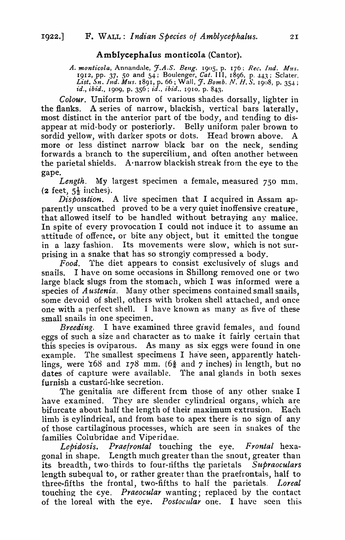# Amblycephalus monticola (Cantor).

*A. monticola, Annandale, J.A.S. Beng.* 1905, p. 176; *Rec. Ind. Mus.* 1912, pp. 37, 50 and 54 j Boulenger, *Cat.* I I I, 1896, p. 43; ScJater, *List. Sn. Ind. Mus.* 1891, p. 66; Wall, J. *Bomb. N. H. S.* 1908, p. 354; id., ibid., 1909, p. 356; id., ibid., 1910, p. 843.

Colour. Uniform brown of various shades dorsally, lighter in the flanks. A series of narrow, blackish, vertical bars laterally, most distinct in the anterior part of the body, and tending to disappear at mid-body or posteriorly. Belly uniform paler brown to sordid yellow, with darker spots or dots. Head brown above. A more or less distinct narrow black bar on the neck, sending forwards a branch to the supercilium, and often another between the parietal shields. A narrow blackish streak from the eye to the gape.

*Length.* My largest specimen a female, measured 750 mm. (**2** feet,  $5\frac{1}{2}$  inches).

*Disposition.* A live specimen that I acquired in Assam apparently unscathed proved to be a very quiet inoffensive creature, that allowed itself to be handled without betrayihg any malice. In spite of every provocation I could not induce it to assume an attitude of offence, or bite any object, but it emitted the tongue in a lazy fashion. Its movements were slow, which is not surprising in a snake that has so strongly compressed a body.

*Food.* 1'he diet appears to consist exclusively of slugs and snails. I have on some occasions in Shillong removed one or two large black slugs from the stomach, which I was informed were a species of A *ustenia.* Many other specimens contained small snails, some devoid of shell, others with broken shell attached, and once one with a perfect shell. I have known as many as five of these small snails in one specimen.

*Breeding.* I have examined three gravid females, and found eggs of such a size and character as to make it fairly certain that this species is oviparous. As many as six eggs were found in one example. The smallest specimens I have seen, apparently hatchlings, were 168 and 178 mm. (6 $\frac{5}{8}$  and 7 inches) in length, but no dates of capture were available. The anal glands in both sexes furnish a custard-llke secretion.

The genitalia are different from those of any other snake I have examined. They are slender cylindrical organs, which are bifurcate about half the length of their maximum extrusion. Each limb is cylindrical, and from base to apex there is no sign of any of those cartilaginous processes, which are seen in snakes of the families Colubridae and Viperidae.

*Lepidosis. Praejrontal* touching the eye. *Frontal* hexagonal in shape. Length much greater than the snout, greater than its breadth, two thirds to four-rifths the parietals *Supraoculars* length subequal to, or rather greater than the praefrontals, half to three-fifths the frontal, two-fifths to half the parietals. *Loreal* touching the eye. *Praeocular* wanting; replaced by the contact of the loreal with the eye. *Postocular* one. I have seen this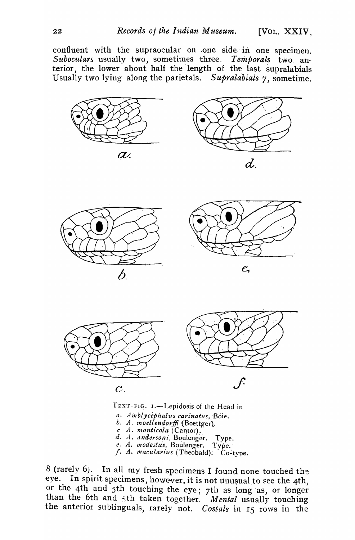confluent with the supraocular on .one side' In one specimen. Suboculars usually two, sometimes three. *Temporals* two anterior, the lower about half the length of the last supralabials Usually two lying along the parietals. *Supralabials* 7, sometime.



 $a.$  *Amblycephalus carinatus*, Boie. *h. A. moellendorffi* (Boettger).. *c A. monticola* (Cantor). d. A. andersoni, Boulenger. Type. *e. A. modestus, Boulenger. Type.*<br>*f. A. macularius* (Theobald): Co-type.

8 (rarely 6). In all my fresh specimens I found none touched the eye. In spirit specimens, however, it is not unusual to see the 4th, or the 4th and 5th touching the eye; 7th as long as, or longer than the 6th and 5th taken together. *Mental* usually touching the anterior sublinguals, rarely not. *Costals* in 15 rows in the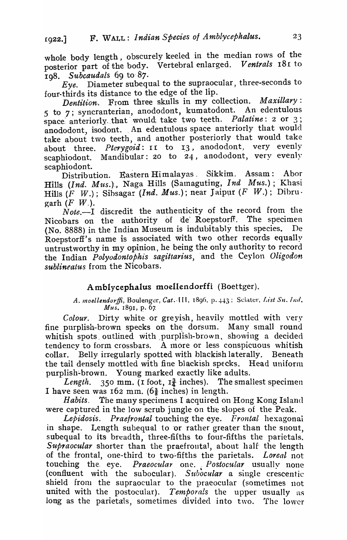whole body length, obscurely keeled in the median rows of the posterior part of the body. Vertebral enlarged. *Ventrals* 181 to

Ig8. Subcaudals 69 to 87.<br>*Eye.* Diameter subequal to the supraocular, three-seconds to four-thirds its distance to the edge of the lip.

*Dentition.* From three skulls in my collection. *Maxillary*:  $5$  to  $7$ ; syncranterian, anododont, kumatodont. An edentulous space anteriorly, that would; take two teeth. Palatine: 2 or 3; anododont, isodont. An edentulous space anteriorly that would take about *tvvo* teeth, and another posteriorly that would take about three. *Pterygoid*: II to 13, anododont, very evenly scaphiodont. Mandibular: 20 to 24, anododont, very evenly

scaphiodont.<br>Distribution. Eastern Himalayas. Sikkim. Assam: Abor Hills *(Ind. Mus.)*, Naga Hills (Samaguting, *Ind Mus.)*; Khasi Hills (F W.); Sibsagar *(Ind. Mus.)*; near Jaipur (F W.); Dibru· garh  $(F \, W)$ .

Note.<sup>--</sup>I discredit the authenticity of the record from the Nicobars on the authority of de' Roepstorff. The specimen (No. 8888) in the Indian Museum is indubitably this species. De Roepstorff's name is associated with two other records equally untrustworthy in my opinion, he being the only authority to record the Indian *Polyodontophis sagittarius,* 'and the Ceylon *Oligodon sublineatus* from the Nicobars.

## A mblycephalus moellendorffi (Boettger).

A. moellendorffi, Boulenger, Cat. 111, 1896, p. 443; Sclater, List Sn. Ind. *Mus.* 1891, p. 67,

*Colour.* Dirty white, or greyish, heavily mottled with very fine purplish-brown specks on the dorsum. Many small round whitish spots outlined with purplish-brown, showing a decided tendency to form crossbars. A more or less conspicuous whitish collar. Belly irregularly spotted with blackish laterally. Beneath the tail densely mottled with fine blackish specks. Head uniform purplish~brown. Young marked exactly like adults.

*Length.* 350 mm. (1 foot,  $I_4^3$  inches). The smallest specimen I have seen was  $162$  mm.  $(6\frac{3}{8}$  inches) in length.

*Habits.* The many specimens I acquired on Hong Kong Island were captured in the low scrub jungle on the slopes of the Peak.

Lepidosis. Praefrontal touching the eye. *Frontal* hexagonal in shape. Length subequal to or rather greater than the snout, subequal to its breadth, three-fifths to four-fifths the parietals. *Supraocular* shorter than the praefrontal, about half the length of the frontal, one-third 'to two~fifths the parietals. *Loreal* not touching the eye. *Praeocular* one. *Postocular* usually none (confluent with the subocular). Subocular a single crescentic shield from the supraocular to the praeocular (sometimes not united with the postocular). *Temporals* the upper usually as long as the parietals, sometimes divided into two. The lower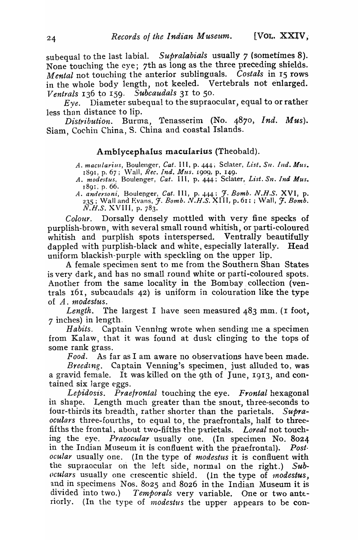subequal to the last labial. *Supralabials* usually 7 (sometimes 8). None touching the eye; 7th as long as the three preceding shields. *M ental* not touching the anterior sublinguals. *Costals* in IS rows in the whole body length, not keeled. Vertebrals not enlarged. *Ventrals* 136 to 159. *Subcaudals* 31 to 50.

 $Eye.$  Diameter subequal to the supraocular, equal to or rather less than distance to lip.

*Distribution.* Burma, Tenasserim (No. 4870, *Ind. Mus*). Siam, Cochin China, S. China and coastal Islands.

#### Amblycephalus macularius (Theobald).

*A. macularius,* Boulenger, *Cat.* I I I, p. 444 i Sc1ater, *List.* SIl. *Illd. Mus.*  1891, p. 67; Wall, *Rec. Ind. Mus.* 1909, p. 149.

- *A. modestus,* Boulenger, *Cat.* I I I, p. 444; Sclater, *List. Sn. Ind Mus.*  J89I; p. 66. .
- A. *andersoni,* Boulenger, *Cat.* III, p. 444: *J. Bomb. N.H.S.* XVI, p.  $235$ ; Wall and Evans, J. *Bomb. N.H.S.* XIII, p. 611; Wall, J. *Bomb.*  $\widetilde{N.H.S.}$  XVIII, p. 783.

*Colour.* Dorsally densely mottled with very fine specks of purplish-brown, with several small round whitish, or parti-coloured whitish and purplish spots interspersed. Ventrally beautifully dappled with purplish-black and white, especially laterally. Head uniform blackish-purple with speckling on the upper lip.

A" female specimen sent to me from the Southern Shan States is very dark, and has no small round white or parti-coloured spots. Another from the same locality in the Bombay collection (ventrals  $16i$ , subcaudals  $42$ ) is uniform in colouration like the type of A. *modestus*.

Length. The largest I have seen measured 483 mm. (I foot, 7 inches) in length.

*Habits.* Captain Venning wrote when sending me a specimen from Kalaw, that it was found at dusk clinging to the tops of some rank grass.

*Food.* As far as I am aware no observations have been made.

*Breedtng.* Captain Venning's specimen, just alluded to, was a gravid female. It was killed on the 9th of June, 19I3, and contained six large eggs.

*Lepidosis. Praefrontal* touching the eye. *Frontal* hexagonal in shape. Length much greater than tbe snout, three-seconds to four-thirds its breadth, rather shorter than the parietals. Supra*oculars* three-fourths, to equal to, the praefrontals, half to threefifths the frontal, about two-fifths the parietals. *Loreal* not touching the eye. *Praeocular* usually one. (In specimen No. 8024 in the Indian Museum it is confluent with the praefrontal). *Postocular* usually one. (In the type of *modestus* it is confluent with the supraocular on the left side, normal on the right.) Sub*oculars* usually one crescentic shield. (In the type of *modestus*, and in specimens Nos.  $8025$  and  $8026$  in the Indian Museum it is divided into two.) *Temporals* very variable. One or two anteriorly. (In the type of *modestus* the upper appears to be con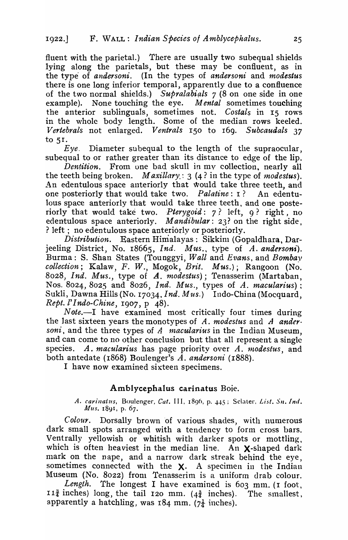fluent with the parietal.) There are usually two subequal shields lying along the parietals, but these may be confluent, as in the type of *andersoni.* (In the types of *andersoni* and *modestus*  there is one long inferior temporal, apparently due to a confluence of the two normal shields.) *Supralabials* 7 (8 on one side in one example). None touching the eye. *M ental* sometimes touching the anterior sublinguals, sometimes not. *Costals* in 15 rows in the whole body length. Some of the median rows keeled. *Vertebrals* not enlarged. *Ventrals* 150 to 169. *Subcaudals 37*  to sr.

*Eye.* Diameter subequal to the length of the supraocular, subequal to or rather greater than its distance to edge of the lip.

*Dentition.* From one bad skull in my collection, nearly all the teeth being broken. *Maxillary*:  $3$  (4? in the type of *modestus*). An edentulous space anteriorly that would take three teeth, and one posteriorly that would take two. *Palatine:* I ? An edentulous space anteriorly that would take three teeth, and one posteriorly that would take two. *Pterygoid*: 7? left, 9? right, no edentulous space anteriorly. *Mandibular*: 23? on the right side, ? left : no edentulous space anteriorly or posteriorly.

*Distribution.* Eastern Himalayas: Sikkim (Gopaldhara, Darjeeling District, No. 18665, *Ind. Mus.*, type of *A. andersoni*). Burma: S. Shan States (Tounggyi, *Wall* and *Evans,* and *Bomba)' collection;* Kalaw, F. W., Mogok, *Brit. Mus.*); Rangoon (No. 8028, *Ind. Mus.,* type of *A. modestus);* Tenasserim (Martaban, Nos. 8024, 8025 and 8026, *Ind. Mus.,* types of A. *macularius)* : Sukli, Dawna Hills (No. 17034, *Ind. Mus.*) Indo-China (Mocquard, *Rept. l' Indo-Chine,* 1907, P 48).

Note.-I have examined most critically four times during the last sixteen years the monotypes of A. *modestus* and A *ander*. *soni*, and the three types of A *macularius* in the Indian Museum, and can come to no other conclusion but that all represent a single species. A. *macularius* has page priority over A. *modestus*, and both antedate (1868) Boulenger's A. andersoni (1888).

I have now examined sixteen specimens.

# Amblycephalus carinatus Boie.

A. carinaius, Boulenger, Cat. III, 1896, p. 445; Sclater, List. Sn. Ind. Mus. 1891, p. 67.

*Colour.* Dorsally brown of various shades, with numerous dark small spots arranged with a tendency to form cross bars. Ventrally yellowish or whitish with darker spots or mottling. which is often heaviest in the median line. An  $\chi$ -shaped dark mark on the nape, and a narrow dark streak behind the eye, sometimes connected with the  $X$ . A specimen in the Indian Museum (No. 8022) from Tenasserim is a uniform drab colour.

Length. The longest I have examined is 603 mm. (I foot,  $I1\frac{3}{4}$  inches) long, the tail 120 mm. (4 $\frac{3}{4}$  inches). The smallest, apparently a hatchling, was  $184$  mm. ( $7\frac{1}{4}$  inches).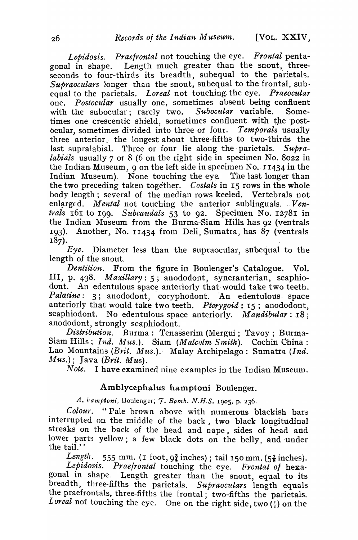*Lepidosis. Praefrontal* not touching the eye. *Frontal* pentagonal in shape. Length much greater than the snout, threeseconds to four-thirds its breadth, subequal to the parietals. Supraoculars longer than the snout, subequal to the frontal, subequal to the parietals. *Loreal* not touching. the eye. *Praeocular*  one. *Postocular* usually one, sometimes absent being confluent with the subocular; rarely two. Subocular variable. Sometimes one crescentic shield, sometimes confluent with the postocular, sometimes divided into three or four. *Temporals* usually three anterior, the longest about three-fifths to two-thirds the last supralabial. Three or four lie along the parietals. Supra*labials* usually 7 or 8 (6 on the right side in specimen No. 8022 in the Indian Museum, 9 on the left side in specimen No.  $11434$  in the Indian Museum). None touching the eye. The last longer than the two preceding taken together. *Costals* in 15 rows in the whole body length; several of the median rows keeled. Vertebrals not enlarged. *Mental* not touching the anterior sublinguals. *Ventrals* 161 to 199. Subcaudals 53 to 92. Specimen No. 12781 in the Indian Museum from the Burma-Siam Hills has 92 (ventrals 193). Another, No. 11434 from Deli, Sumatra, has  $87$  (ventrals  $187$ ).

*Eye.* .Diameter less than the supraocular, suhequal to the length of the snout.

*Dentition.* From the figure in Boulenger's Catalogue. Vol. III, p. 438. *Maxillary*: 5; anododont, syncranterian, scaphiodont. An edentulous space anteriorly that would take two teeth. Palatine: 3; anododont, coryphodont. An edentulous space anteriorly that would take two teeth. *Pterygoid*: 15; anododont, scaphiodont. No edentulous space anteriorly. Mandibular: 18; anododont, strongly scaphiodont.

*Distribution.* Burma: Tenasserim (Mergui; Tavoy; Burma-Siam Hills; *Ind. Mus.*). Siam *(Malcolm Smith)*. Cochin China: Lao Mountains (Brit. Mus.). Malay Archipelago: Sumatra *(Ind.*  $Mus.$ ); Java *(Brit. Mus).*<br>*Note.* I have examin

I have examined nine examples in the Indian Museum.

### Amblycephalus hamptoni Boulenger.

*A. hampfoni,* Boulenger; 7. Bo~nb. *N.H.S.* 1905, p. 236.

*Colour.* "Pale brown above with numerous blackish bars interrupted on the middle of the back, two black longitudinal streaks on the back of the head and nape, sides of head and lower parts yellow; a few black dots on the belly, and under the tail.''  $\qquad \qquad$  ,  $\qquad \qquad$  ,  $\qquad \qquad$  ,  $\qquad \qquad$  ,  $\qquad \qquad$  ,  $\qquad \qquad$  ,  $\qquad \qquad$  ,  $\qquad \qquad$  ,  $\qquad \qquad$  ,  $\qquad \qquad$  ,  $\qquad \qquad$  ,  $\qquad \qquad$  ,  $\qquad \qquad$  ,  $\qquad \qquad$  ,  $\qquad \qquad$  ,  $\qquad \qquad$  ,  $\qquad \qquad$  ,  $\qquad \qquad$  ,  $\qquad \qquad$  ,

*Length.* 555 mm. (I foot,  $9\frac{3}{4}$  inches); tail 150 mm. ( $5\frac{7}{8}$  inches). *Lepidosis. Praetrontal* touching the eye. *Frontal 0/* hexagonal in shape. Length greater than the snout, equal to its breadth, three-fifths the parietals. *Supraoculars* length equals the praefrontals, three-fifths the frontal; two-fifths the parietals. *Loreal* not touching the eye. One on the right side, two  $(\frac{1}{1})$  on the